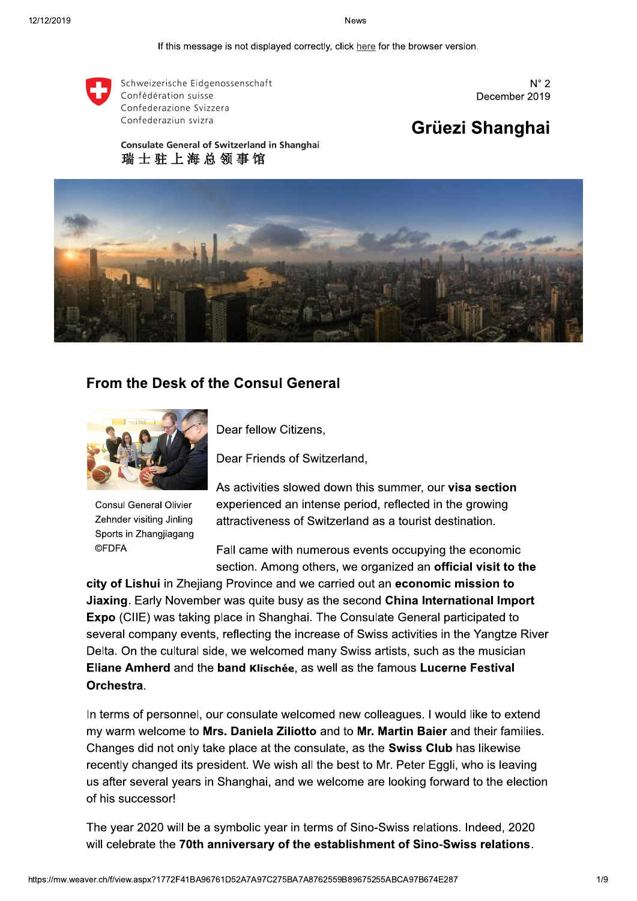If this message is not displayed correctly, click here for the browser version.



Schweizerische Eidgenossenschaft Confédération suisse Confederazione Svizzera Confederaziun svizra

 $N^{\circ} 2$ December 2019

# Grüezi Shanghai

**Consulate General of Switzerland in Shanghai** 瑞士驻上海总领事馆



# **From the Desk of the Consul General**



**Consul General Olivier** Zehnder visiting Jinling Sports in Zhangjiagang **©FDFA** 

Dear fellow Citizens.

Dear Friends of Switzerland,

As activities slowed down this summer, our visa section experienced an intense period, reflected in the growing attractiveness of Switzerland as a tourist destination.

Fall came with numerous events occupying the economic section. Among others, we organized an official visit to the

city of Lishui in Zhejiang Province and we carried out an economic mission to Jiaxing. Early November was quite busy as the second China International Import Expo (CIIE) was taking place in Shanghai. The Consulate General participated to several company events, reflecting the increase of Swiss activities in the Yangtze River Delta. On the cultural side, we welcomed many Swiss artists, such as the musician Eliane Amherd and the band Klischée, as well as the famous Lucerne Festival Orchestra.

In terms of personnel, our consulate welcomed new colleagues. I would like to extend my warm welcome to Mrs. Daniela Ziliotto and to Mr. Martin Baier and their families. Changes did not only take place at the consulate, as the Swiss Club has likewise recently changed its president. We wish all the best to Mr. Peter Eggli, who is leaving us after several years in Shanghai, and we welcome are looking forward to the election of his successor!

The year 2020 will be a symbolic year in terms of Sino-Swiss relations. Indeed, 2020 will celebrate the 70th anniversary of the establishment of Sino-Swiss relations.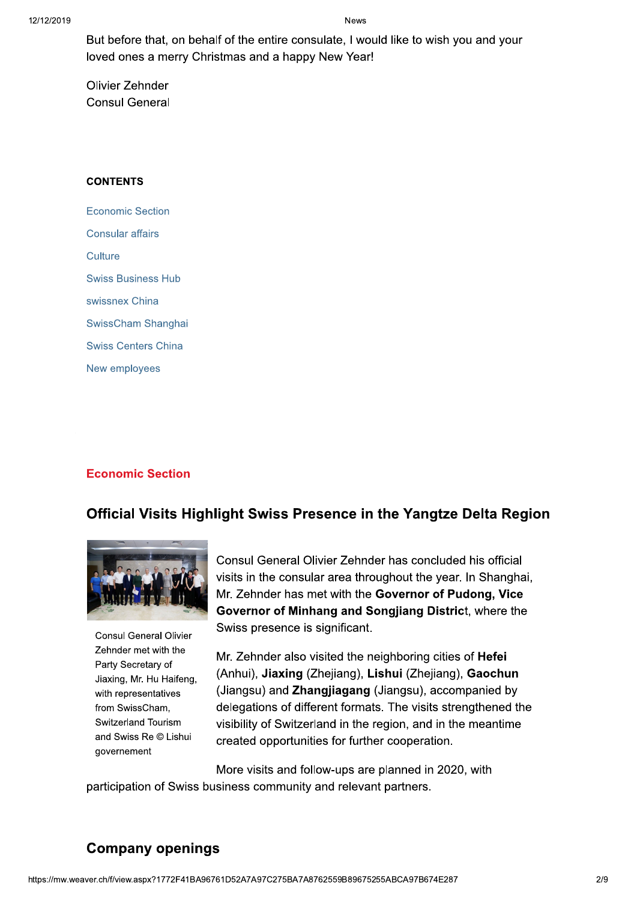But before that, on behalf of the entire consulate, I would like to wish you and your loved ones a merry Christmas and a happy New Year!

Olivier Zehnder **Consul General** 

#### **CONTENTS**

**Economic Section Consular affairs** Culture **Swiss Business Hub** swissnex China SwissCham Shanghai **Swiss Centers China** New employees

### **Economic Section**

# Official Visits Highlight Swiss Presence in the Yangtze Delta Region



**Consul General Olivier** Zehnder met with the Party Secretary of Jiaxing, Mr. Hu Haifeng, with representatives from SwissCham, Switzerland Tourism and Swiss Re © Lishui governement

Consul General Olivier Zehnder has concluded his official visits in the consular area throughout the year. In Shanghai, Mr. Zehnder has met with the Governor of Pudong. Vice Governor of Minhang and Songjiang District, where the Swiss presence is significant.

Mr. Zehnder also visited the neighboring cities of Hefei (Anhui), Jiaxing (Zhejiang), Lishui (Zhejiang), Gaochun (Jiangsu) and Zhangjiagang (Jiangsu), accompanied by delegations of different formats. The visits strengthened the visibility of Switzerland in the region, and in the meantime created opportunities for further cooperation.

More visits and follow-ups are planned in 2020, with participation of Swiss business community and relevant partners.

# **Company openings**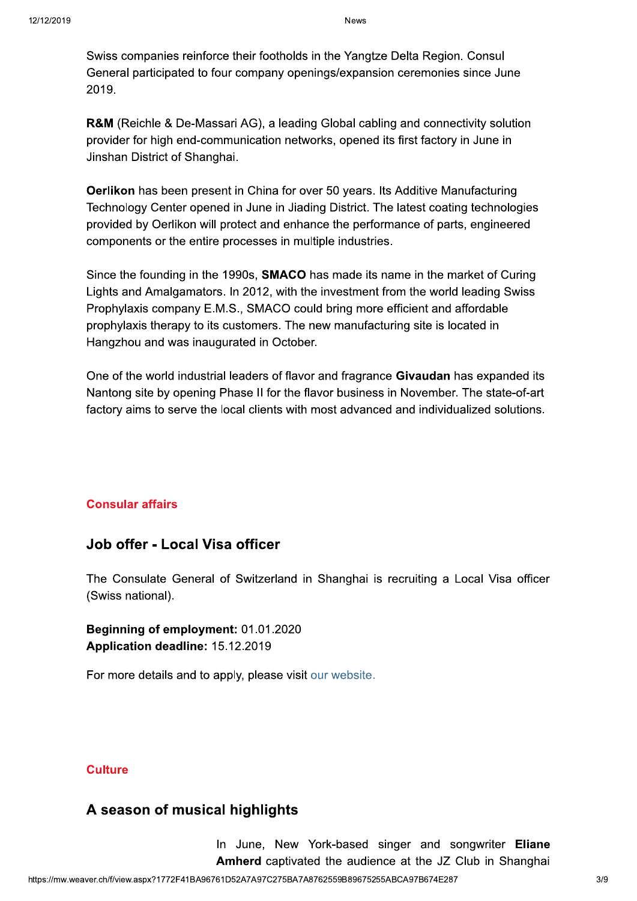Swiss companies reinforce their footholds in the Yangtze Delta Region. Consul General participated to four company openings/expansion ceremonies since June 2019.

**R&M** (Reichle & De-Massari AG), a leading Global cabling and connectivity solution provider for high end-communication networks, opened its first factory in June in Jinshan District of Shanghai.

Oerlikon has been present in China for over 50 years. Its Additive Manufacturing Technology Center opened in June in Jiading District. The latest coating technologies provided by Oerlikon will protect and enhance the performance of parts, engineered components or the entire processes in multiple industries.

Since the founding in the 1990s, SMACO has made its name in the market of Curing Lights and Amalgamators. In 2012, with the investment from the world leading Swiss Prophylaxis company E.M.S., SMACO could bring more efficient and affordable prophylaxis therapy to its customers. The new manufacturing site is located in Hangzhou and was inaugurated in October.

One of the world industrial leaders of flavor and fragrance **Givaudan** has expanded its Nantong site by opening Phase II for the flavor business in November. The state-of-art factory aims to serve the local clients with most advanced and individualized solutions.

### **Consular affairs**

# Job offer - Local Visa officer

The Consulate General of Switzerland in Shanghai is recruiting a Local Visa officer (Swiss national).

Beginning of employment: 01.01.2020 Application deadline: 15.12.2019

For more details and to apply, please visit our website.

### **Culture**

# A season of musical highlights

In June, New York-based singer and songwriter Eliane Amherd captivated the audience at the JZ Club in Shanghai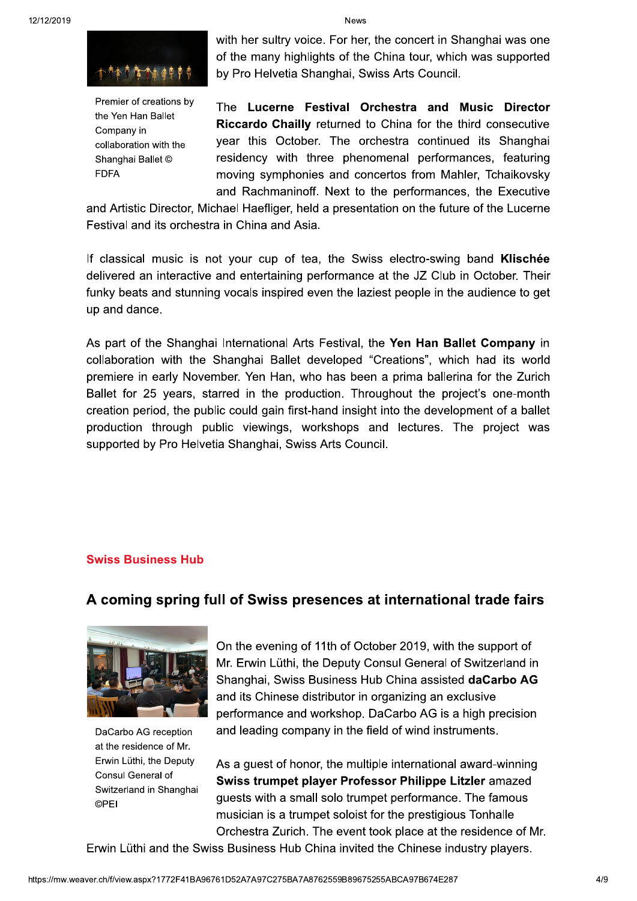

Premier of creations by the Yen Han Ballet Company in collaboration with the Shanghai Ballet © **FDFA** 

with her sultry voice. For her, the concert in Shanghai was one of the many highlights of the China tour, which was supported by Pro Helvetia Shanghai, Swiss Arts Council.

The Lucerne Festival Orchestra and Music Director Riccardo Chailly returned to China for the third consecutive year this October. The orchestra continued its Shanghai residency with three phenomenal performances, featuring moving symphonies and concertos from Mahler, Tchaikovsky and Rachmaninoff. Next to the performances, the Executive

and Artistic Director, Michael Haefliger, held a presentation on the future of the Lucerne Festival and its orchestra in China and Asia.

If classical music is not your cup of tea, the Swiss electro-swing band Klischée delivered an interactive and entertaining performance at the JZ Club in October. Their funky beats and stunning vocals inspired even the laziest people in the audience to get up and dance.

As part of the Shanghai International Arts Festival, the Yen Han Ballet Company in collaboration with the Shanghai Ballet developed "Creations", which had its world premiere in early November. Yen Han, who has been a prima ballerina for the Zurich Ballet for 25 years, starred in the production. Throughout the project's one-month creation period, the public could gain first-hand insight into the development of a ballet production through public viewings, workshops and lectures. The project was supported by Pro Helvetia Shanghai, Swiss Arts Council.

#### **Swiss Business Hub**

# A coming spring full of Swiss presences at international trade fairs



DaCarbo AG reception at the residence of Mr. Erwin Lüthi, the Deputy Consul General of Switzerland in Shanghai **OPEI** 

On the evening of 11th of October 2019, with the support of Mr. Erwin Lüthi, the Deputy Consul General of Switzerland in Shanghai, Swiss Business Hub China assisted daCarbo AG and its Chinese distributor in organizing an exclusive performance and workshop. DaCarbo AG is a high precision and leading company in the field of wind instruments.

As a guest of honor, the multiple international award-winning Swiss trumpet player Professor Philippe Litzler amazed guests with a small solo trumpet performance. The famous musician is a trumpet soloist for the prestigious Tonhalle Orchestra Zurich. The event took place at the residence of Mr.

Erwin Lüthi and the Swiss Business Hub China invited the Chinese industry players.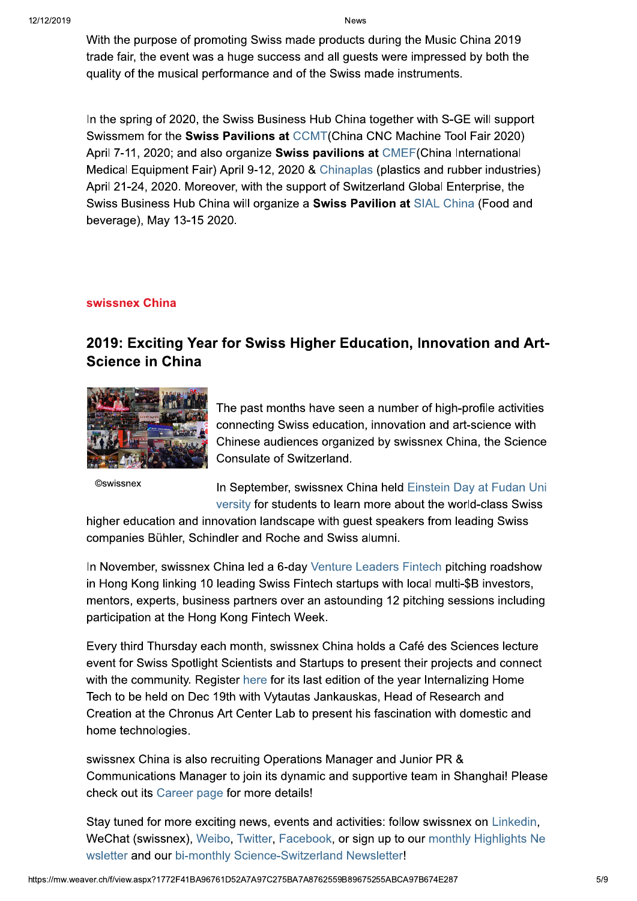With the purpose of promoting Swiss made products during the Music China 2019 trade fair, the event was a huge success and all guests were impressed by both the quality of the musical performance and of the Swiss made instruments.

In the spring of 2020, the Swiss Business Hub China together with S-GE will support Swissmem for the Swiss Pavilions at CCMT(China CNC Machine Tool Fair 2020) April 7-11, 2020; and also organize Swiss pavilions at CMEF(China International Medical Equipment Fair) April 9-12, 2020 & Chinaplas (plastics and rubber industries) April 21-24, 2020. Moreover, with the support of Switzerland Global Enterprise, the Swiss Business Hub China will organize a Swiss Pavilion at SIAL China (Food and beverage), May 13-15 2020.

### swissnex China

# 2019: Exciting Year for Swiss Higher Education, Innovation and Art-**Science in China**



**©swissnex** 

The past months have seen a number of high-profile activities connecting Swiss education, innovation and art-science with Chinese audiences organized by swissnex China, the Science Consulate of Switzerland.

In September, swissnex China held Einstein Day at Fudan Uni versity for students to learn more about the world-class Swiss

higher education and innovation landscape with guest speakers from leading Swiss companies Bühler, Schindler and Roche and Swiss alumni.

In November, swissnex China led a 6-day Venture Leaders Fintech pitching roadshow in Hong Kong linking 10 leading Swiss Fintech startups with local multi-\$B investors, mentors, experts, business partners over an astounding 12 pitching sessions including participation at the Hong Kong Fintech Week.

Every third Thursday each month, swissnex China holds a Café des Sciences lecture event for Swiss Spotlight Scientists and Startups to present their projects and connect with the community. Register here for its last edition of the year Internalizing Home Tech to be held on Dec 19th with Vytautas Jankauskas, Head of Research and Creation at the Chronus Art Center Lab to present his fascination with domestic and home technologies.

swissnex China is also recruiting Operations Manager and Junior PR & Communications Manager to join its dynamic and supportive team in Shanghai! Please check out its Career page for more details!

Stay tuned for more exciting news, events and activities: follow swissnex on Linkedin, WeChat (swissnex), Weibo, Twitter, Facebook, or sign up to our monthly Highlights Ne wsletter and our bi-monthly Science-Switzerland Newsletter!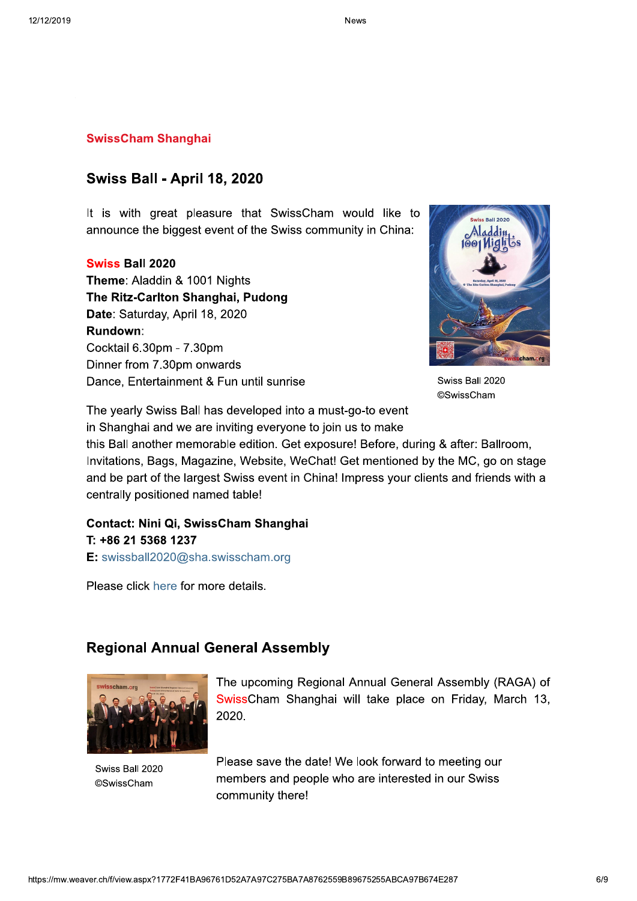#### **SwissCham Shanghai**

### **Swiss Ball - April 18, 2020**

It is with great pleasure that SwissCham would like to announce the biggest event of the Swiss community in China:

### **Swiss Ball 2020**

Theme: Aladdin & 1001 Nights The Ritz-Carlton Shanghai, Pudong Date: Saturday, April 18, 2020 Rundown: Cocktail 6.30pm - 7.30pm Dinner from 7.30pm onwards Dance, Entertainment & Fun until sunrise



Swiss Ball 2020 ©SwissCham

The yearly Swiss Ball has developed into a must-go-to event in Shanghai and we are inviting everyone to join us to make

this Ball another memorable edition. Get exposure! Before, during & after: Ballroom, Invitations, Bags, Magazine, Website, WeChat! Get mentioned by the MC, go on stage and be part of the largest Swiss event in China! Impress your clients and friends with a centrally positioned named table!

# Contact: Nini Qi, SwissCham Shanghai T: +86 21 5368 1237 E: swissball2020@sha.swisscham.org

Please click here for more details.

### **Regional Annual General Assembly**



Swiss Ball 2020 **©SwissCham** 

The upcoming Regional Annual General Assembly (RAGA) of SwissCham Shanghai will take place on Friday, March 13, 2020.

Please save the date! We look forward to meeting our members and people who are interested in our Swiss community there!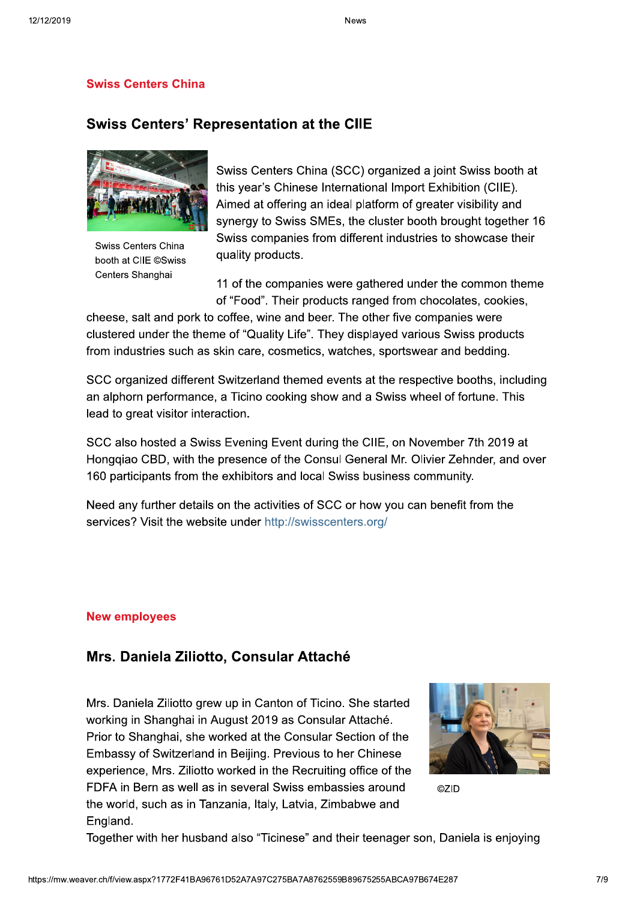### **Swiss Centers China**

# **Swiss Centers' Representation at the CIIE**



Swiss Centers China booth at CIIE ©Swiss Centers Shanghai

Swiss Centers China (SCC) organized a joint Swiss booth at this year's Chinese International Import Exhibition (CIIE). Aimed at offering an ideal platform of greater visibility and synergy to Swiss SMEs, the cluster booth brought together 16 Swiss companies from different industries to showcase their quality products.

11 of the companies were gathered under the common theme of "Food". Their products ranged from chocolates, cookies,

cheese, salt and pork to coffee, wine and beer. The other five companies were clustered under the theme of "Quality Life". They displayed various Swiss products from industries such as skin care, cosmetics, watches, sportswear and bedding.

SCC organized different Switzerland themed events at the respective booths, including an alphorn performance, a Ticino cooking show and a Swiss wheel of fortune. This lead to great visitor interaction.

SCC also hosted a Swiss Evening Event during the CIIE, on November 7th 2019 at Honggiao CBD, with the presence of the Consul General Mr. Olivier Zehnder, and over 160 participants from the exhibitors and local Swiss business community.

Need any further details on the activities of SCC or how you can benefit from the services? Visit the website under http://swisscenters.org/

#### **New employees**

### Mrs. Daniela Ziliotto, Consular Attaché

Mrs. Daniela Ziliotto grew up in Canton of Ticino. She started working in Shanghai in August 2019 as Consular Attaché. Prior to Shanghai, she worked at the Consular Section of the Embassy of Switzerland in Beijing. Previous to her Chinese experience, Mrs. Ziliotto worked in the Recruiting office of the FDFA in Bern as well as in several Swiss embassies around the world, such as in Tanzania, Italy, Latvia, Zimbabwe and England.



**©ZID** 

Together with her husband also "Ticinese" and their teenager son, Daniela is enjoying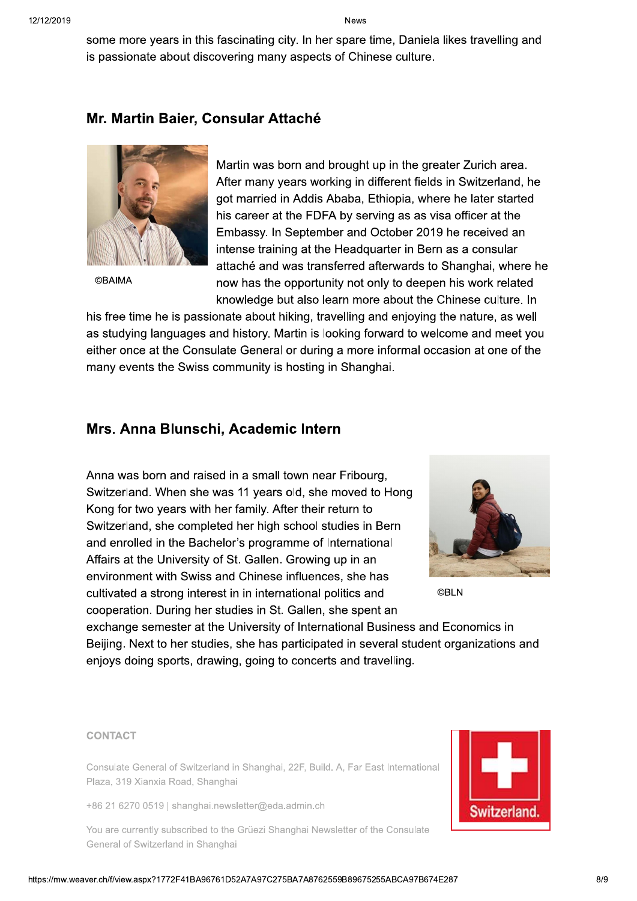some more years in this fascinating city. In her spare time, Daniela likes travelling and is passionate about discovering many aspects of Chinese culture.

# Mr. Martin Baier, Consular Attaché



**©BAIMA** 

Martin was born and brought up in the greater Zurich area. After many years working in different fields in Switzerland, he got married in Addis Ababa, Ethiopia, where he later started his career at the FDFA by serving as as visa officer at the Embassy. In September and October 2019 he received an intense training at the Headquarter in Bern as a consular attaché and was transferred afterwards to Shanghai, where he now has the opportunity not only to deepen his work related knowledge but also learn more about the Chinese culture. In

his free time he is passionate about hiking, travelling and enjoying the nature, as well as studying languages and history. Martin is looking forward to welcome and meet you either once at the Consulate General or during a more informal occasion at one of the many events the Swiss community is hosting in Shanghai.

### Mrs. Anna Blunschi, Academic Intern

Anna was born and raised in a small town near Fribourg, Switzerland. When she was 11 years old, she moved to Hong Kong for two years with her family. After their return to Switzerland, she completed her high school studies in Bern and enrolled in the Bachelor's programme of International Affairs at the University of St. Gallen. Growing up in an environment with Swiss and Chinese influences, she has cultivated a strong interest in in international politics and cooperation. During her studies in St. Gallen, she spent an



**©BLN** 

exchange semester at the University of International Business and Economics in Beijing. Next to her studies, she has participated in several student organizations and enjoys doing sports, drawing, going to concerts and travelling.

#### **CONTACT**

Consulate General of Switzerland in Shanghai, 22F, Build. A, Far East International Plaza, 319 Xianxia Road, Shanghai

+86 21 6270 0519 | shanghai.newsletter@eda.admin.ch

You are currently subscribed to the Grüezi Shanghai Newsletter of the Consulate General of Switzerland in Shanghai